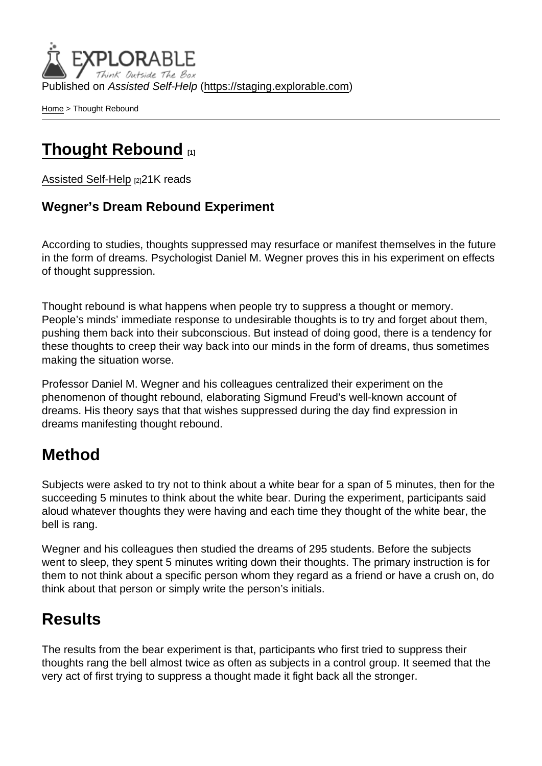Published on Assisted Self-Help [\(https://staging.explorable.com](https://staging.explorable.com))

[Home](https://staging.explorable.com/en) > Thought Rebound

## [Thought Rebound](https://staging.explorable.com/en/thought-rebound) [1]

[Assisted Self-Help](https://staging.explorable.com/en) [2] 21K reads

#### Wegner's Dream Rebound Experiment

According to studies, thoughts suppressed may resurface or manifest themselves in the future in the form of dreams. Psychologist Daniel M. Wegner proves this in his experiment on effects of thought suppression.

Thought rebound is what happens when people try to suppress a thought or memory. People's minds' immediate response to undesirable thoughts is to try and forget about them, pushing them back into their subconscious. But instead of doing good, there is a tendency for these thoughts to creep their way back into our minds in the form of dreams, thus sometimes making the situation worse.

Professor Daniel M. Wegner and his colleagues centralized their experiment on the phenomenon of thought rebound, elaborating Sigmund Freud's well-known account of dreams. His theory says that that wishes suppressed during the day find expression in dreams manifesting thought rebound.

### Method

Subjects were asked to try not to think about a white bear for a span of 5 minutes, then for the succeeding 5 minutes to think about the white bear. During the experiment, participants said aloud whatever thoughts they were having and each time they thought of the white bear, the bell is rang.

Wegner and his colleagues then studied the dreams of 295 students. Before the subjects went to sleep, they spent 5 minutes writing down their thoughts. The primary instruction is for them to not think about a specific person whom they regard as a friend or have a crush on, do think about that person or simply write the person's initials.

## **Results**

The results from the bear experiment is that, participants who first tried to suppress their thoughts rang the bell almost twice as often as subjects in a control group. It seemed that the very act of first trying to suppress a thought made it fight back all the stronger.